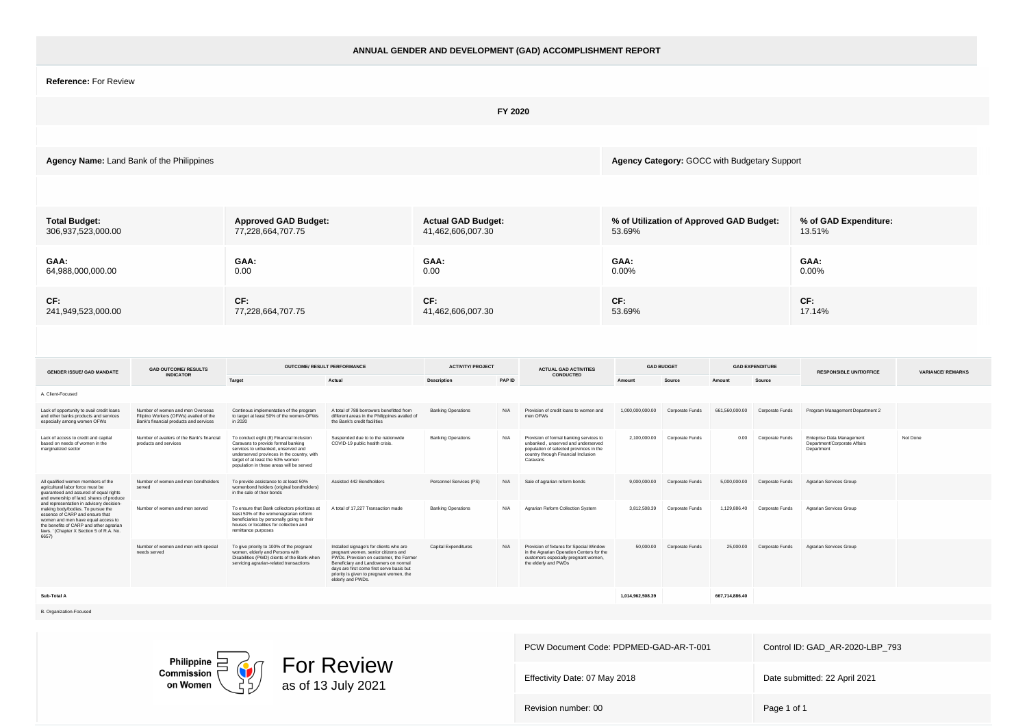|                                                                                                                                                                                                                                                        |                                                                                                                      |                                                                                                                                                                                                                                                    |                                                                                                                                                                                                                                                                                 |                                                |         | ANNUAL GENDER AND DEVELOPMENT (GAD) ACCOMPLISHMENT REPORT                                                                                                                   |                                                    |                           |                |                           |                                                                         |                         |
|--------------------------------------------------------------------------------------------------------------------------------------------------------------------------------------------------------------------------------------------------------|----------------------------------------------------------------------------------------------------------------------|----------------------------------------------------------------------------------------------------------------------------------------------------------------------------------------------------------------------------------------------------|---------------------------------------------------------------------------------------------------------------------------------------------------------------------------------------------------------------------------------------------------------------------------------|------------------------------------------------|---------|-----------------------------------------------------------------------------------------------------------------------------------------------------------------------------|----------------------------------------------------|---------------------------|----------------|---------------------------|-------------------------------------------------------------------------|-------------------------|
| Reference: For Review                                                                                                                                                                                                                                  |                                                                                                                      |                                                                                                                                                                                                                                                    |                                                                                                                                                                                                                                                                                 |                                                |         |                                                                                                                                                                             |                                                    |                           |                |                           |                                                                         |                         |
|                                                                                                                                                                                                                                                        |                                                                                                                      |                                                                                                                                                                                                                                                    |                                                                                                                                                                                                                                                                                 |                                                | FY 2020 |                                                                                                                                                                             |                                                    |                           |                |                           |                                                                         |                         |
|                                                                                                                                                                                                                                                        |                                                                                                                      |                                                                                                                                                                                                                                                    |                                                                                                                                                                                                                                                                                 |                                                |         |                                                                                                                                                                             |                                                    |                           |                |                           |                                                                         |                         |
| Agency Name: Land Bank of the Philippines                                                                                                                                                                                                              |                                                                                                                      |                                                                                                                                                                                                                                                    |                                                                                                                                                                                                                                                                                 |                                                |         |                                                                                                                                                                             | Agency Category: GOCC with Budgetary Support       |                           |                |                           |                                                                         |                         |
|                                                                                                                                                                                                                                                        |                                                                                                                      |                                                                                                                                                                                                                                                    |                                                                                                                                                                                                                                                                                 |                                                |         |                                                                                                                                                                             |                                                    |                           |                |                           |                                                                         |                         |
| <b>Total Budget:</b><br>306,937,523,000.00                                                                                                                                                                                                             |                                                                                                                      | <b>Approved GAD Budget:</b><br>77,228,664,707.75                                                                                                                                                                                                   |                                                                                                                                                                                                                                                                                 | <b>Actual GAD Budget:</b><br>41,462,606,007.30 |         |                                                                                                                                                                             | % of Utilization of Approved GAD Budget:<br>53.69% |                           |                |                           | % of GAD Expenditure:<br>13.51%                                         |                         |
| GAA:<br>64,988,000,000.00                                                                                                                                                                                                                              |                                                                                                                      | GAA:<br>0.00                                                                                                                                                                                                                                       |                                                                                                                                                                                                                                                                                 | GAA:<br>0.00                                   |         |                                                                                                                                                                             | GAA:<br>$0.00\%$                                   |                           |                |                           | GAA:<br>0.00%                                                           |                         |
| CF:<br>241,949,523,000.00                                                                                                                                                                                                                              |                                                                                                                      | CF:<br>77,228,664,707.75                                                                                                                                                                                                                           |                                                                                                                                                                                                                                                                                 | CF:<br>41,462,606,007.30                       |         |                                                                                                                                                                             | CF:<br>53.69%                                      |                           |                |                           | CF:<br>17.14%                                                           |                         |
|                                                                                                                                                                                                                                                        |                                                                                                                      |                                                                                                                                                                                                                                                    |                                                                                                                                                                                                                                                                                 |                                                |         |                                                                                                                                                                             |                                                    |                           |                |                           |                                                                         |                         |
| <b>GENDER ISSUE/ GAD MANDATE</b>                                                                                                                                                                                                                       | <b>GAD OUTCOME/ RESULTS</b><br><b>INDICATOR</b>                                                                      | OUTCOME/ RESULT PERFORMANCE                                                                                                                                                                                                                        |                                                                                                                                                                                                                                                                                 | <b>ACTIVITY/ PROJECT</b>                       |         | ACTUAL GAD ACTIVITIES<br>CONDUCTED                                                                                                                                          |                                                    | <b>GAD BUDGET</b>         |                | <b>GAD EXPENDITURE</b>    | <b>RESPONSIBLE UNIT/OFFICE</b>                                          | <b>VARIANCE/REMARKS</b> |
| A. Client-Focused                                                                                                                                                                                                                                      |                                                                                                                      | Target                                                                                                                                                                                                                                             | Actual                                                                                                                                                                                                                                                                          | Description                                    | PAP ID  |                                                                                                                                                                             | Amoun                                              | Source                    |                | Source                    |                                                                         |                         |
| Lack of opportunity to avail credit loans<br>and other banks products and services<br>especially among women OFWs                                                                                                                                      | Number of women and men Overseas<br>Filipino Workers (OFWs) availed of the<br>Bank's financial products and services | Continous implementation of the program<br>to target at least 50% of the women-OFWs<br>in 2020                                                                                                                                                     | A total of 788 borrowers benefitted from<br>different areas in the Philippines availed of<br>the Bank's credit facilities                                                                                                                                                       | <b>Banking Operations</b>                      | N/A     | Provision of credit loans to women and<br>men OFWs                                                                                                                          | 1.000.000.000.00                                   | Corporate Funds           | 661.560.000.00 | Corporate Funds           | Program Management Department 2                                         |                         |
| Lack of access to credit and capital<br>based on needs of women in the<br>marginalized sector                                                                                                                                                          | Number of availers of the Bank's financial<br>products and services                                                  | To conduct eight (8) Financial Inclusion<br>Caravans to provide formal banking<br>services to unbanked, unserved and<br>underserved provinces in the country, with<br>target of at least the 50% women<br>population in these areas will be served | Suspended due to to the nationwide<br>COVID-19 public health crisis.                                                                                                                                                                                                            | <b>Banking Operations</b>                      | N/A     | Provision of formal banking services to<br>unbanked, unserved and underserved<br>population of selected provinces in the<br>country through Financial Inclusion<br>Caravans | 2,100,000.00                                       | Corporate Funds           | 0.00           | Corporate Funds           | Enteprise Data Management<br>Department/Corporate Affairs<br>Department | Not Done                |
| All qualified women members of the<br>agricultural labor force must be<br>guaranteed and assured of equal rights<br>and ownership of land, shares of produce                                                                                           | Number of women and men bondholders<br>served                                                                        | To provide assistance to at least 50%<br>womenbond holders (original bondholders)<br>in the sale of their bonds                                                                                                                                    | Assisted 442 Bondholders                                                                                                                                                                                                                                                        | Personnel Services (PS)                        | N/A     | Sale of agrarian reform bonds                                                                                                                                               | 9,000,000.00                                       | Corporate Funds           | 5,000,000.00   | Corporate Funds           | Agrarian Services Group                                                 |                         |
| and representation in advisory decision-<br>making body/bodies. To pursue the<br>essence of CARP and ensure that<br>women and men have equal access to<br>the benefits of CARP and other agrarian<br>laws. ' (Chapter X Section 5 of R.A. No.<br>6657) | Number of women and men served                                                                                       | To ensure that Bank collectors prioritizes at<br>least 50% of the womenagrarian reform<br>beneficiaries by personally going to their<br>houses or localities for collection and<br>remittance purposes                                             | A total of 17,227 Transaction made                                                                                                                                                                                                                                              | <b>Banking Operations</b>                      | N/A     | Agrarian Reform Collection System                                                                                                                                           | 3.812.508.39                                       | Corporate Funds           | 1.129.886.40   | Corporate Funds           | Agrarian Services Group                                                 |                         |
|                                                                                                                                                                                                                                                        | Number of women and men with special<br>needs served                                                                 | To give priority to 100% of the pregnant<br>women, elderly and Persons with<br>Disabilities (PWD) clients of the Bank when<br>servicing agrarian-related transactions                                                                              | Installed signage's for clients who are<br>pregnant women, senior citizens and<br>PWDs. Provision on customer, the Farmer<br>Beneficiary and Landowners on normal<br>days are first come first serve basis but<br>priority is given to pregnant women, the<br>elderly and PWDs. | <b>Capital Expenditures</b>                    | N/A     | Provision of fixtures for Special Window<br>in the Agrarian Operation Centers for the<br>customers especially pregnant women,<br>the elderly and PWDs                       |                                                    | 50,000.00 Corporate Funds |                | 25.000.00 Corporate Funds | Agrarian Services Group                                                 |                         |
| Sub-Total A                                                                                                                                                                                                                                            |                                                                                                                      |                                                                                                                                                                                                                                                    |                                                                                                                                                                                                                                                                                 |                                                |         |                                                                                                                                                                             | 1.014.962.508.39                                   |                           | 667.714.886.40 |                           |                                                                         |                         |

B. Organization-Focused



PCW Document Code: PDPMED-GAD-AR-T-001 Control ID: GAD\_AR-2020-LBP\_793 Effectivity Date: 07 May 2018 **Date submitted: 22 April 2021**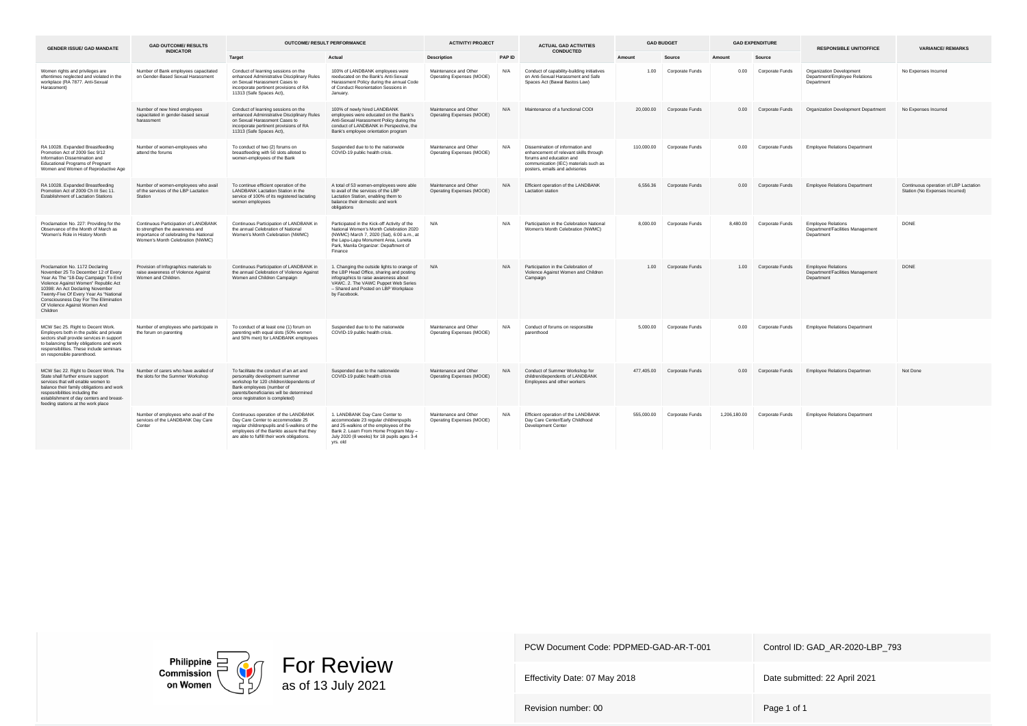| <b>GENDER ISSUE/ GAD MANDATE</b>                                                                                                                                                                                                                                                                                          | <b>GAD OUTCOME/ RESULTS</b>                                                                                                                           |                                                                                                                                                                                                                                  | <b>OUTCOME/ RESULT PERFORMANCE</b>                                                                                                                                                                                              | <b>ACTIVITY/ PROJECT</b>                           |        | <b>ACTUAL GAD ACTIVITIES</b>                                                                                                                                                      |            | <b>GAD BUDGET</b>         |              | <b>GAD EXPENDITURE</b> | <b>RESPONSIBLE UNIT/OFFICE</b>                                              | <b>VARIANCE/ REMARKS</b>                                                |
|---------------------------------------------------------------------------------------------------------------------------------------------------------------------------------------------------------------------------------------------------------------------------------------------------------------------------|-------------------------------------------------------------------------------------------------------------------------------------------------------|----------------------------------------------------------------------------------------------------------------------------------------------------------------------------------------------------------------------------------|---------------------------------------------------------------------------------------------------------------------------------------------------------------------------------------------------------------------------------|----------------------------------------------------|--------|-----------------------------------------------------------------------------------------------------------------------------------------------------------------------------------|------------|---------------------------|--------------|------------------------|-----------------------------------------------------------------------------|-------------------------------------------------------------------------|
|                                                                                                                                                                                                                                                                                                                           | <b>INDICATOR</b>                                                                                                                                      | Target                                                                                                                                                                                                                           | Actual                                                                                                                                                                                                                          | <b>Description</b>                                 | PAP ID | <b>CONDUCTED</b>                                                                                                                                                                  | Amount     | Source                    | Amount       | Source                 |                                                                             |                                                                         |
| Women rights and privileges are<br>oftentimes neglected and violated in the<br>workplace (RA 7877, Anti-Sexual<br>Harassment)                                                                                                                                                                                             | Number of Bank employees capacitated<br>on Gender-Based Sexual Harassment                                                                             | Conduct of learning sessions on the<br>enhanced Administrative Disciplinary Rules<br>on Sexual Harassment Cases to<br>incorporate pertinent provisions of RA<br>11313 (Safe Spaces Act),                                         | 100% of LANDBANK employees were<br>reeducated on the Bank's Anti-Sexual<br>Harassment Policy during the annual Code<br>of Conduct Reorientation Sessions in<br>January.                                                         | Maintenance and Other<br>Operating Expenses (MOOE) | N/A    | Conduct of capability-building initiatives<br>on Anti-Sexual Harassment and Safe<br>Spaces Act (Bawal Bastos Law)                                                                 | 1.00       | Corporate Funds           | 0.00         | Corporate Funds        | Organization Development<br>Department/Employee Relations<br>Department     | No Expenses Incurred                                                    |
|                                                                                                                                                                                                                                                                                                                           | Number of new hired employees<br>capacitated in gender-based sexual<br>harassment                                                                     | Conduct of learning sessions on the<br>enhanced Administrative Disciplinary Rules<br>on Sexual Harassment Cases to<br>incorporate pertinent provisions of RA<br>11313 (Safe Spaces Act),                                         | 100% of newly hired LANDBANK<br>employees were educated on the Bank's<br>Anti-Sexual Harassment Policy during the<br>conduct of LANDBANK in Perspective, the<br>Bank's employee orientation program                             | Maintenance and Other<br>Operating Expenses (MOOE) | N/A    | Maintenance of a functional CODI                                                                                                                                                  |            | 20,000.00 Corporate Funds | 0.00         | Corporate Funds        | Organization Development Department                                         | No Expenses Incurred                                                    |
| RA 10028. Expanded Breastfeeding<br>Promotion Act of 2009 Sec 9/12<br>Information Dissemination and<br><b>Educational Programs of Pregnant</b><br>Women and Women of Reproductive Age                                                                                                                                     | Number of women-employees who<br>attend the forums                                                                                                    | To conduct of two (2) forums on<br>breastfeeding with 50 slots alloted to<br>women-employees of the Bank                                                                                                                         | Suspended due to to the nationwide<br>COVID-19 public health crisis.                                                                                                                                                            | Maintenance and Other<br>Operating Expenses (MOOE) | N/A    | Dissemination of information and<br>enhancement of relevant skills through<br>forums and education and<br>communication (IEC) materials such as<br>posters, emails and advisories | 110,000.00 | Corporate Funds           | 0.00         | Corporate Funds        | <b>Employee Relations Department</b>                                        |                                                                         |
| RA 10028. Expanded Breastfeeding<br>Promotion Act of 2009 Ch III Sec 11.<br>Establishment of Lactation Stations                                                                                                                                                                                                           | Number of women-employees who avail<br>of the services of the LBP Lactation<br>Station                                                                | To continue efficient operation of the<br>LANDBANK Lactation Station in the<br>service of 100% of its registered lactating<br>women employees                                                                                    | A total of 53 women-employees were able<br>to avail of the services of the LBP<br>Lactation Station, enabling them to<br>balance their domestic and work<br>obligations                                                         | Maintenance and Other<br>Operating Expenses (MOOE) | N/A    | Efficient operation of the LANDBANK<br>Lactation station                                                                                                                          | 6,556,36   | Corporate Funds           | 0.00         | Corporate Funds        | <b>Employee Relations Department</b>                                        | Continuous operation of LBP Lactation<br>Station (No Expenses Incurred) |
| Proclamation No. 227: Providing for the<br>Observance of the Month of March as<br>"Women's Role in History Month                                                                                                                                                                                                          | Continuous Participation of LANDBANK<br>to strengthen the awareness and<br>importance of celebrating the National<br>Women's Month Celebration (NWMC) | Continuous Participation of LANDBANK in<br>the annual Celebration of National<br>Women's Month Celebration (NWMC)                                                                                                                | Participated in the Kick-off Activity of the<br>National Women's Month Celebration 2020<br>(NWMC) March 7, 2020 (Sat), 6:00 a.m., at<br>the Lapu-Lapu Monument Area. Luneta<br>Park, Manila Organizer: Depaftment of<br>Finance | N/A                                                | N/A    | Participation in the Celebration National<br>Women's Month Celebration (NWMC)                                                                                                     | 8,000.00   | Corporate Funds           | 8,480.00     | Corporate Funds        | <b>Employee Relations</b><br>Department/Facilities Management<br>Department | <b>DONE</b>                                                             |
| Proclamation No. 1172 Declaring<br>November 25 To December 12 of Every<br>Year As The "18-Day Campaign To End<br>Violence Against Women" Republic Act<br>10398: An Act Declaring November<br>Twenty-Five Of Every Year As "National<br>Consciousness Day For The Elimination<br>Of Violence Against Women And<br>Children | Provision of Infographics materials to<br>raise awareness of Violence Against<br>Women and Children.                                                  | Continuous Participation of LANDBANK in<br>the annual Celebration of Violence Against<br>Women and Children Campaign                                                                                                             | 1. Changing the outside lights to orange of<br>the LBP Head Office, sharing and posting<br>infographics to raise awareness about<br>VAWC. 2. The VAWC Puppet Web Series<br>- Shared and Posted on LBP Workplace<br>by Facebook. | N/A                                                | N/A    | Participation in the Celebration of<br>Violence Against Women and Children<br>Campaign                                                                                            | 1.00       | Corporate Funds           | 1.00         | Corporate Funds        | <b>Employee Relations</b><br>Department/Facilities Management<br>Department | <b>DONE</b>                                                             |
| MCW Sec 25. Right to Decent Work.<br>Employers both in the public and private<br>sectors shall provide services in support<br>to balancing family obligations and work<br>responsibilities. These include seminars<br>on responsible parenthood.                                                                          | Number of employees who participate in<br>the forum on parenting                                                                                      | To conduct of at least one (1) forum on<br>parenting with equal slots (50% women<br>and 50% men) for LANDBANK employees                                                                                                          | Suspended due to to the nationwide<br>COVID-19 public health crisis.                                                                                                                                                            | Maintenance and Other<br>Operating Expenses (MOOE) | N/A    | Conduct of forums on responsible<br>parenthood                                                                                                                                    | 5.000.00   | Corporate Funds           | 0.00         | Corporate Funds        | <b>Employee Relations Department</b>                                        |                                                                         |
| MCW Sec 22. Right to Decent Work. The<br>State shall further ensure support<br>services that will enable women to<br>balance their family obligations and work<br>resposnibilities including the<br>establishment of day centers and breast-<br>feeding stations at the work place                                        | Number of carers who have availed of<br>the slots for the Summer Workshop                                                                             | To facilitate the conduct of an art and<br>personality development summer<br>workshop for 120 children/dependents of<br>Bank employees (number of<br>parents/beneficiaries will be determined<br>once registration is completed) | Suspended due to the nationwide<br>COVID-19 public health crisis                                                                                                                                                                | Maintenance and Other<br>Operating Expenses (MOOE) | N/A    | Conduct of Summer Workshop for<br>children/dependents of LANDBANK<br>Employees and other workers                                                                                  | 477,405.00 | Corporate Funds           | 0.00         | Corporate Funds        | Employee Relations Departmen                                                | Not Done                                                                |
|                                                                                                                                                                                                                                                                                                                           | Number of employees who avail of the<br>services of the LANDBANK Day Care<br>Center                                                                   | Continuous operation of the LANDBANK<br>Day Care Center to accommodate 25<br>regular childrenpupils and 5-walkins of the<br>employees of the Bankto assure that they<br>are able to fulfill their work obligations.              | 1. LANDBANK Day Care Center to<br>accommodate 23 regular childrenpupils<br>and 25-walkins of the employees of the<br>Bank 2. Learn From Home Program May -<br>July 2020 (8 weeks) for 18 pupils ages 3-4<br>yrs. old            | Maintenance and Other<br>Operating Expenses (MOOE) | N/A    | Efficient operation of the LANDBANK<br>Day Care Center/Early Childhood<br>Development Center                                                                                      | 555,000.00 | Corporate Funds           | 1,206,180.00 | Corporate Funds        | <b>Employee Relations Department</b>                                        |                                                                         |



Effectivity Date: 07 May 2018 Date submitted: 22 April 2021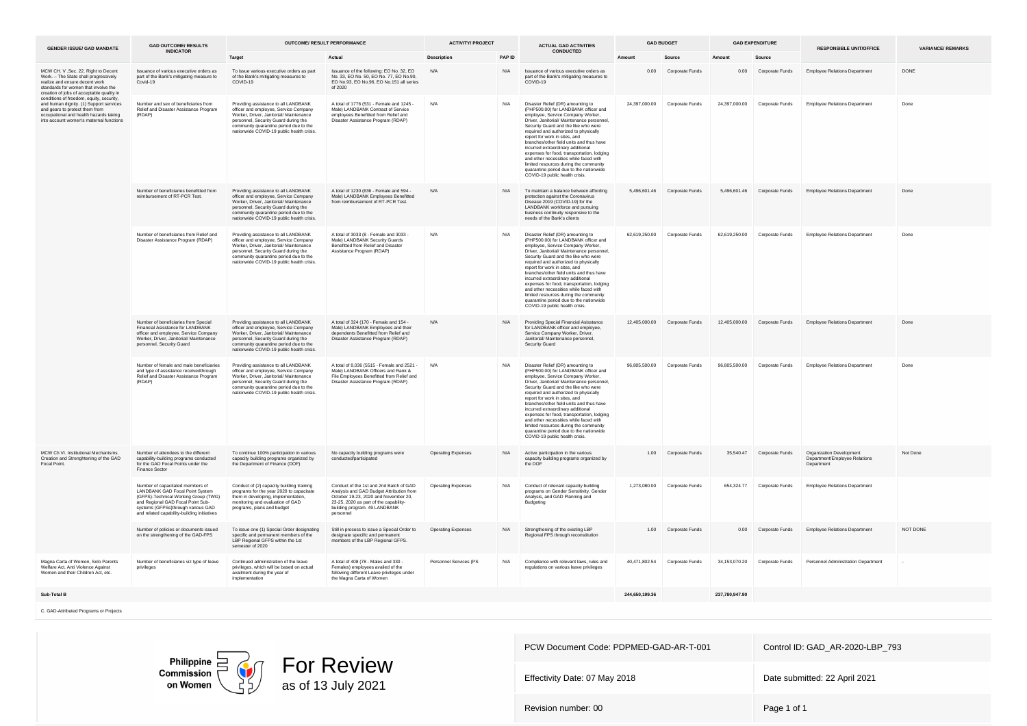| <b>GENDER ISSUE/ GAD MANDATE</b>                                                                                                                                                                           | <b>GAD OUTCOME/ RESULTS</b><br><b>INDICATOR</b>                                                                                                                                                                                       | OUTCOME/ RESULT PERFORMANCE                                                                                                                                                                                                                             |                                                                                                                                                                                                                     | <b>ACTIVITY/ PROJECT</b> |            | <b>ACTUAL GAD ACTIVITIES</b>                                                                                                                                                                                                                                                                                                                                                                                                                                                                                                                                                   | <b>GAD BUDGET</b> |                               |                | <b>GAD EXPENDITURE</b>        | <b>RESPONSIBLE UNIT/OFFICE</b>                                          | <b>VARIANCE/REMARKS</b> |
|------------------------------------------------------------------------------------------------------------------------------------------------------------------------------------------------------------|---------------------------------------------------------------------------------------------------------------------------------------------------------------------------------------------------------------------------------------|---------------------------------------------------------------------------------------------------------------------------------------------------------------------------------------------------------------------------------------------------------|---------------------------------------------------------------------------------------------------------------------------------------------------------------------------------------------------------------------|--------------------------|------------|--------------------------------------------------------------------------------------------------------------------------------------------------------------------------------------------------------------------------------------------------------------------------------------------------------------------------------------------------------------------------------------------------------------------------------------------------------------------------------------------------------------------------------------------------------------------------------|-------------------|-------------------------------|----------------|-------------------------------|-------------------------------------------------------------------------|-------------------------|
|                                                                                                                                                                                                            |                                                                                                                                                                                                                                       | Target                                                                                                                                                                                                                                                  | Actual                                                                                                                                                                                                              | <b>Description</b>       | PAP ID     | <b>CONDUCTED</b>                                                                                                                                                                                                                                                                                                                                                                                                                                                                                                                                                               | Amount            | Source                        | Amount         | Source                        |                                                                         |                         |
| MCW CH. V.Sec. 22. Right to Decent<br>Work. - The State shall progressively<br>realize and ensure decent work<br>standards for women that involve the<br>creation of jobs of acceptable quality in         | Issuance of various executive orders as<br>part of the Bank's mitigating measure to<br>Covid-19                                                                                                                                       | To issue various executive orders as part<br>of the Bank's mitigating measures to<br>COVID-19                                                                                                                                                           | Issuance of the following: EO No. 32, EO<br>No. 33, EO No. 50, EO No. 77, EO No. 90.<br>EO No.93, EO No.96, EO No.151 all series<br>of 2020                                                                         | N/A                      | N/A        | Issuance of various executive orders as<br>part of the Bank's mitigating measures to<br>COVID-19                                                                                                                                                                                                                                                                                                                                                                                                                                                                               |                   | 0.00 Corporate Funds          | 0.00           | Corporate Funds               | <b>Employee Relations Department</b>                                    | <b>DONE</b>             |
| conditions of freedom, equity, security,<br>and human dignity. (1) Support services<br>and gears to protect them from<br>occupational and health hazards taking<br>into account women's maternal functions | Number and sex of beneficiaries from<br>Relief and Disaster Assistance Program<br>(RDAP)                                                                                                                                              | Providing assistance to all LANDBANK<br>officer and employee, Service Company<br>Worker, Driver, Janitorial/ Maintenance<br>personnel. Security Guard during the<br>community quarantine period due to the<br>nationwide COVID-19 public health crisis. | A total of 1776 (531 - Female and 1245 -<br>Male) LANDBANK Contract of Service<br>employees Benefitted from Relief and<br>Disaster Assistance Program (RDAP)                                                        | N/A                      | N/A        | Disaster Relief (DR) amounting to<br>(PHP500.00) for LANDBANK officer and<br>employee, Service Company Worker,<br>Driver, Janitorial/ Maintenance personnel<br>Security Guard and the like who were<br>required and authorized to physically<br>report for work in sites, and<br>branches/other field units and thus have<br>incurred extraordinary additional<br>expenses for food, transportation, lodging<br>and other necessities while faced with<br>limited resources during the community<br>quarantine period due to the nationwide<br>COVID-19 public health crisis.  | 24.397.000.00     | Corporate Funds               | 24,397,000.00  | Corporate Funds               | <b>Employee Relations Department</b>                                    | Done                    |
|                                                                                                                                                                                                            | Number of beneficiaries benefitted from<br>reimbursement of RT-PCR Test.                                                                                                                                                              | Providing assistance to all LANDBANK<br>officer and employee, Service Company<br>Worker, Driver, Janitorial/ Maintenance<br>personnel. Security Guard during the<br>community quarantine period due to the<br>nationwide COVID-19 public health crisis. | A total of 1230 (636 - Female and 594 -<br>Male)   ANDBANK Employees Benefitted<br>from reimbursement of RT-PCR Test.                                                                                               | N/A                      | $N/\Delta$ | To maintain a balance between affording<br>protection against the Coronavirus<br>Disease 2019 (COVID-19) for the<br>LANDBANK workforce and pursuing<br>business continuity responsive to the<br>needs of the Bank's clients                                                                                                                                                                                                                                                                                                                                                    |                   | 5,496,601.46 Corporate Funds  |                | 5.496.601.46 Corporate Funds  | <b>Employee Relations Department</b>                                    | Done                    |
|                                                                                                                                                                                                            | Number of beneficiaries from Relief and<br>Disaster Assistance Program (RDAP)                                                                                                                                                         | Providing assistance to all LANDBANK<br>officer and employee. Service Company<br>Worker, Driver, Janitorial/ Maintenance<br>personnel, Security Guard during the<br>community quarantine period due to the<br>nationwide COVID-19 public health crisis. | A total of 3033 (8 - Female and 3033 -<br>Male) LANDBANK Security Guards<br>Benefitted from Relief and Disaster<br>Assistance Program (RDAP)                                                                        | N/A                      | N/A        | Disaster Relief (DR) amounting to<br>(PHP500.00) for LANDBANK officer and<br>employee, Service Company Worker,<br>Driver, Janitorial/ Maintenance personnel,<br>Security Guard and the like who were<br>required and authorized to physically<br>report for work in sites, and<br>branches/other field units and thus have<br>incurred extraordinary additional<br>expenses for food, transportation, lodging<br>and other necessities while faced with<br>limited resources during the community<br>quarantine period due to the nationwide<br>COVID-19 public health crisis. |                   | 62.619.250.00 Corporate Funds |                | 62.619.250.00 Corporate Funds | <b>Employee Relations Department</b>                                    | Done                    |
|                                                                                                                                                                                                            | Number of beneficiaries from Special<br>Financial Asisstance for LANDBANK<br>officer and employee. Service Company<br>Worker, Driver, Janitorial/ Maintenance<br>personnel, Security Guard                                            | Providing assistance to all LANDBANK<br>officer and employee, Service Company<br>Worker, Driver, Janitorial/ Maintenance<br>personnel, Security Guard during the<br>community quarantine period due to the<br>nationwide COVID-19 public health crisis. | A total of 324 (170 - Female and 154 -<br>Male) I ANDBANK Employees and their<br>dependents Benefitted from Relief and<br>Disaster Assistance Program (RDAP)                                                        | N/A                      | N/A        | Providing Special Financial Asisstance<br>for LANDBANK officer and employee.<br>Service Company Worker, Driver,<br>Janitorial/ Maintenance personnel,<br>Security Guard                                                                                                                                                                                                                                                                                                                                                                                                        |                   | 12.405.000.00 Corporate Funds | 12 405 000 00  | Corporate Funds               | <b>Employee Relations Department</b>                                    | Done                    |
|                                                                                                                                                                                                            | Number of female and male beneficiaries<br>and type of assistance receivedthrough<br>Relief and Disaster Assistance Program<br>(RDAP)                                                                                                 | Providing assistance to all LANDBANK<br>officer and employee, Service Company<br>Worker, Driver, Janitorial/ Maintenance<br>personnel, Security Guard during the<br>community quarantine period due to the<br>nationwide COVID-19 public health crisis. | A total of 8,036 (5515 - Female and 2521 -<br>Male) LANDBANK Officers and Rank &<br>File Employees Benefitted from Relief and<br>Disaster Assistance Program (RDAP)                                                 | N/A                      | N/A        | Disaster Relief (DR) amounting to<br>(PHP500.00) for LANDBANK officer and<br>employee, Service Company Worker,<br>Driver, Janitorial/ Maintenance personnel,<br>Security Guard and the like who were<br>required and authorized to physically<br>report for work in sites, and<br>hranches/other field units and thus have<br>incurred extraordinary additional<br>expenses for food, transportation, lodging<br>and other necessities while faced with<br>limited resources during the community<br>quarantine period due to the nationwide<br>COVID-19 public health crisis. |                   | 96.805.500.00 Corporate Funds |                | 96.805.500.00 Corporate Funds | <b>Employee Relations Department</b>                                    | Done                    |
| MCW Ch VI. Institutional Mechanisms.<br>Creation and Strenghtening of the GAD<br>Focal Point                                                                                                               | Number of attendees to the different<br>capability-building programs conducted<br>for the GAD Focal Points under the<br>Finance Sector                                                                                                | To continue 100% participation in various<br>capacity building programs organized by<br>the Department of Finance (DOF)                                                                                                                                 | No capacity building programs were<br>conducted/participated                                                                                                                                                        | Operating Expenses       | N/A        | Active participation in the various<br>capacity building programs organized by<br>the DOF                                                                                                                                                                                                                                                                                                                                                                                                                                                                                      | 1.00              | Corporate Funds               | 35,540.47      | Corporate Funds               | Organization Development<br>Department/Employee Relations<br>Department | Not Done                |
|                                                                                                                                                                                                            | Number of capacitated members of<br>LANDBANK GAD Focal Point System<br>(GFPS)-Technical Working Group (TWG)<br>and Regional GAD Focal Point Sub-<br>systems (GFPSs)through various GAD<br>and related capability-building initiatives | Conduct of (2) capacity building training<br>programs for the year 2020 to capacitate<br>them in developing, implementation.<br>monitoring and evaluation of GAD<br>programs, plans and budget                                                          | Conduct of the 1st and 2nd Batch of GAD<br>Analysis and GAD Budget Attribution from<br>October 19-23, 2020 and November 20,<br>23-25, 2020 as part of the capability-<br>building program. 49 LANDBANK<br>nersonnel | Operating Expenses       | N/A        | Conduct of relevant capacity building<br>programs on Gender Sensitivity, Gender<br>Analysis, and GAD Planning and<br>Budgeting                                                                                                                                                                                                                                                                                                                                                                                                                                                 |                   | 1,273,080.00 Corporate Funds  |                | 654 324 77 Corporate Funds    | Employee Relations Department                                           |                         |
|                                                                                                                                                                                                            | Number of policies or documents issued<br>on the strengthening of the GAD-FPS                                                                                                                                                         | To issue one (1) Special Order designating<br>specific and permanent members of the<br>LBP Regional GFPS within the 1st<br>semester of 2020                                                                                                             | Still in process to issue a Special Order to<br>designate specific and permanent<br>members of the LBP Regional GFPS.                                                                                               | Operating Expenses       | N/A        | Strengthening of the existing LBP<br>Regional FPS through reconstitution                                                                                                                                                                                                                                                                                                                                                                                                                                                                                                       | 1.00              | Corporate Funds               | 0.00           | Corporate Funds               | <b>Employee Relations Department</b>                                    | NOT DONE                |
| Magna Carta of Women, Solo Parents<br>Welfare Act, Anti Violence Against<br>Women and their Children Act. etc.                                                                                             | Number of beneficiaries viz type of leave<br>privileges                                                                                                                                                                               | Continued administration of the leave<br>privileges, which will be based on actual<br>availment during the year of<br>implementation                                                                                                                    | A total of 408 (78 - Males and 330 -<br>Females) employees availed of the<br>following different Leave privileges under<br>the Magna Carta of Women                                                                 | Personnel Services (PS   | N/A        | Compliance with relevant laws, rules and<br>equlations on various leave privileges                                                                                                                                                                                                                                                                                                                                                                                                                                                                                             |                   | 40,471,802.54 Corporate Funds | 34,153,070.20  | Corporate Funds               | Personnel Administration Department                                     |                         |
| Sub-Total B                                                                                                                                                                                                |                                                                                                                                                                                                                                       |                                                                                                                                                                                                                                                         |                                                                                                                                                                                                                     |                          |            |                                                                                                                                                                                                                                                                                                                                                                                                                                                                                                                                                                                | 244.650.199.36    |                               | 237.780.947.90 |                               |                                                                         |                         |

C. GAD-Attributed Programs or Projects

Philippine<br>Commission<br>on Women



PCW Document Code: PDPMED-GAD-AR-T-001 Control ID: GAD\_AR-2020-LBP\_793

Effectivity Date: 07 May 2018 **Date submitted: 22 April 2021**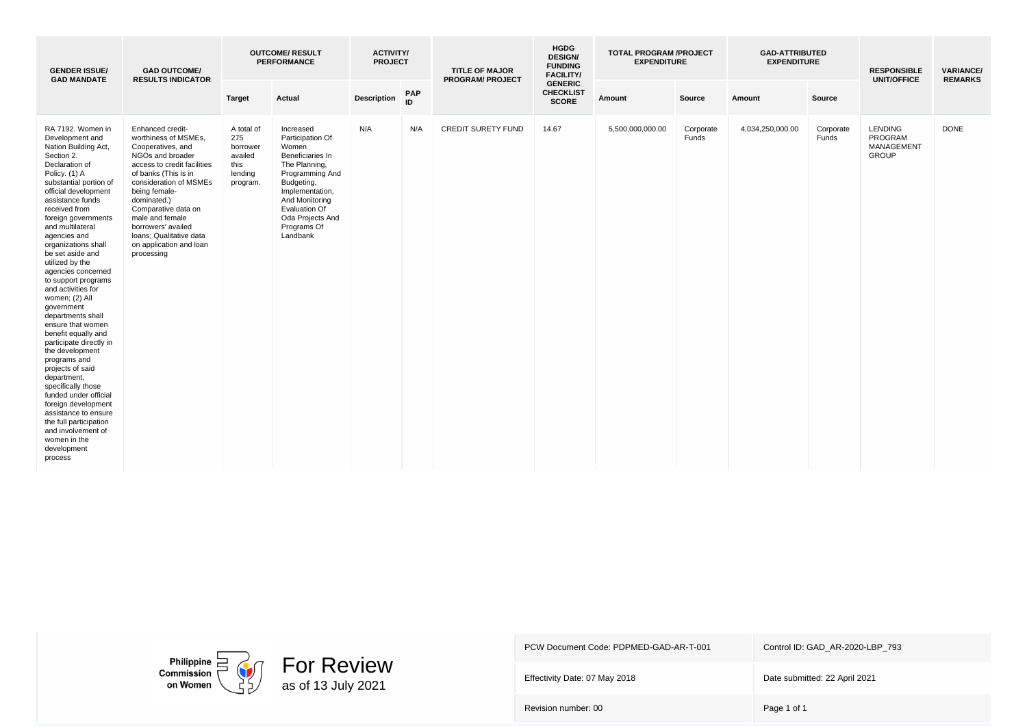| <b>GENDER ISSUE/</b><br><b>GAD MANDATE</b>                                                                                                                                                                                                                                                                                                                                                                                                                                                                                                                                                                                                                                                                                                                                                 | <b>GAD OUTCOME/</b><br><b>RESULTS INDICATOR</b>                                                                                                                                                                                                                                                                                        |                                                                         | <b>OUTCOME/ RESULT</b><br><b>PERFORMANCE</b>                                                                                                                                                                      | <b>ACTIVITY/</b><br><b>PROJECT</b> |                  | <b>TITLE OF MAJOR</b><br><b>PROGRAM/ PROJECT</b> | <b>HGDG</b><br><b>DESIGN/</b><br><b>FUNDING</b><br><b>FACILITY/</b> | <b>TOTAL PROGRAM /PROJECT</b><br><b>EXPENDITURE</b> |                    | <b>GAD-ATTRIBUTED</b><br><b>EXPENDITURE</b> |                    | <b>RESPONSIBLE</b><br><b>UNIT/OFFICE</b>                | <b>VARIANCE/</b><br><b>REMARKS</b> |
|--------------------------------------------------------------------------------------------------------------------------------------------------------------------------------------------------------------------------------------------------------------------------------------------------------------------------------------------------------------------------------------------------------------------------------------------------------------------------------------------------------------------------------------------------------------------------------------------------------------------------------------------------------------------------------------------------------------------------------------------------------------------------------------------|----------------------------------------------------------------------------------------------------------------------------------------------------------------------------------------------------------------------------------------------------------------------------------------------------------------------------------------|-------------------------------------------------------------------------|-------------------------------------------------------------------------------------------------------------------------------------------------------------------------------------------------------------------|------------------------------------|------------------|--------------------------------------------------|---------------------------------------------------------------------|-----------------------------------------------------|--------------------|---------------------------------------------|--------------------|---------------------------------------------------------|------------------------------------|
|                                                                                                                                                                                                                                                                                                                                                                                                                                                                                                                                                                                                                                                                                                                                                                                            |                                                                                                                                                                                                                                                                                                                                        | <b>Target</b>                                                           | Actual                                                                                                                                                                                                            | <b>Description</b>                 | <b>PAP</b><br>ID |                                                  | <b>GENERIC</b><br><b>CHECKLIST</b><br><b>SCORE</b>                  | Amount                                              | Source             | Amount                                      | Source             |                                                         |                                    |
| RA 7192. Women in<br>Development and<br>Nation Building Act,<br>Section 2.<br>Declaration of<br>Policy. (1) A<br>substantial portion of<br>official development<br>assistance funds<br>received from<br>foreign governments<br>and multilateral<br>agencies and<br>organizations shall<br>be set aside and<br>utilized by the<br>agencies concerned<br>to support programs<br>and activities for<br>women; (2) All<br>government<br>departments shall<br>ensure that women<br>benefit equally and<br>participate directly in<br>the development<br>programs and<br>projects of said<br>department,<br>specifically those<br>funded under official<br>foreign development<br>assistance to ensure<br>the full participation<br>and involvement of<br>women in the<br>development<br>process | Enhanced credit-<br>worthiness of MSMEs,<br>Cooperatives, and<br>NGOs and broader<br>access to credit facilities<br>of banks (This is in<br>consideration of MSMEs<br>being female-<br>dominated.)<br>Comparative data on<br>male and female<br>borrowers' availed<br>Ioans; Qualitative data<br>on application and loan<br>processing | A total of<br>275<br>borrower<br>availed<br>this<br>lending<br>program. | Increased<br>Participation Of<br>Women<br>Beneficiaries In<br>The Planning,<br>Programming And<br>Budgeting,<br>Implementation,<br>And Monitoring<br>Evaluation Of<br>Oda Projects And<br>Programs Of<br>Landbank | N/A                                | N/A              | <b>CREDIT SURETY FUND</b>                        | 14.67                                                               | 5,500,000,000.00                                    | Corporate<br>Funds | 4,034,250,000.00                            | Corporate<br>Funds | <b>LENDING</b><br>PROGRAM<br>MANAGEMENT<br><b>GROUP</b> | <b>DONE</b>                        |



Effectivity Date: 07 May 2018 Date submitted: 22 April 2021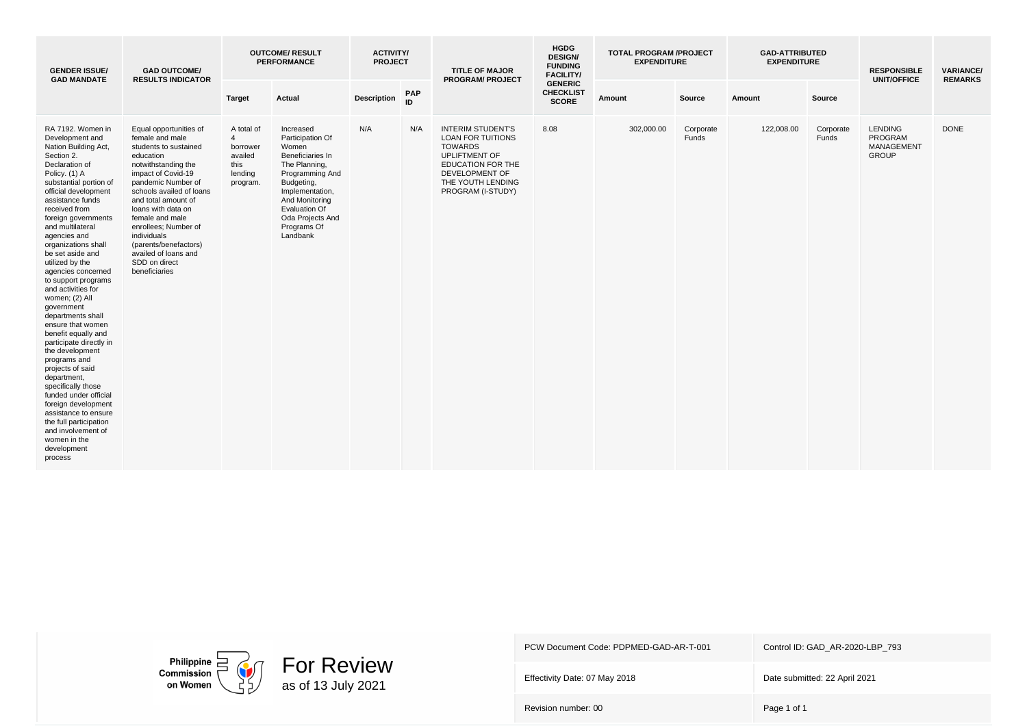| <b>GENDER ISSUE/</b><br><b>GAD MANDATE</b>                                                                                                                                                                                                                                                                                                                                                                                                                                                                                                                                                                                                                                                                                                                                                 | <b>GAD OUTCOME/</b><br><b>RESULTS INDICATOR</b>                                                                                                                                                                                                                                                                                                                          |                                                                                    | <b>OUTCOME/ RESULT</b><br><b>PERFORMANCE</b>                                                                                                                                                                      | <b>ACTIVITY/</b><br><b>PROJECT</b> |                  | <b>TITLE OF MAJOR</b><br><b>PROGRAM/ PROJECT</b>                                                                                                                                | <b>HGDG</b><br><b>DESIGN/</b><br><b>FUNDING</b><br><b>FACILITY/</b> | <b>TOTAL PROGRAM /PROJECT</b><br><b>EXPENDITURE</b> |                    | <b>GAD-ATTRIBUTED</b><br><b>EXPENDITURE</b> |                    | <b>RESPONSIBLE</b><br><b>UNIT/OFFICE</b>                       | <b>VARIANCE/</b><br><b>REMARKS</b> |
|--------------------------------------------------------------------------------------------------------------------------------------------------------------------------------------------------------------------------------------------------------------------------------------------------------------------------------------------------------------------------------------------------------------------------------------------------------------------------------------------------------------------------------------------------------------------------------------------------------------------------------------------------------------------------------------------------------------------------------------------------------------------------------------------|--------------------------------------------------------------------------------------------------------------------------------------------------------------------------------------------------------------------------------------------------------------------------------------------------------------------------------------------------------------------------|------------------------------------------------------------------------------------|-------------------------------------------------------------------------------------------------------------------------------------------------------------------------------------------------------------------|------------------------------------|------------------|---------------------------------------------------------------------------------------------------------------------------------------------------------------------------------|---------------------------------------------------------------------|-----------------------------------------------------|--------------------|---------------------------------------------|--------------------|----------------------------------------------------------------|------------------------------------|
|                                                                                                                                                                                                                                                                                                                                                                                                                                                                                                                                                                                                                                                                                                                                                                                            |                                                                                                                                                                                                                                                                                                                                                                          | <b>Target</b>                                                                      | Actual                                                                                                                                                                                                            | <b>Description</b>                 | <b>PAP</b><br>ID |                                                                                                                                                                                 | <b>GENERIC</b><br><b>CHECKLIST</b><br><b>SCORE</b>                  | Amount                                              | Source             | Amount                                      | Source             |                                                                |                                    |
| RA 7192. Women in<br>Development and<br>Nation Building Act,<br>Section 2.<br>Declaration of<br>Policy. (1) A<br>substantial portion of<br>official development<br>assistance funds<br>received from<br>foreign governments<br>and multilateral<br>agencies and<br>organizations shall<br>be set aside and<br>utilized by the<br>agencies concerned<br>to support programs<br>and activities for<br>women; (2) All<br>government<br>departments shall<br>ensure that women<br>benefit equally and<br>participate directly in<br>the development<br>programs and<br>projects of said<br>department,<br>specifically those<br>funded under official<br>foreign development<br>assistance to ensure<br>the full participation<br>and involvement of<br>women in the<br>development<br>process | Equal opportunities of<br>female and male<br>students to sustained<br>education<br>notwithstanding the<br>impact of Covid-19<br>pandemic Number of<br>schools availed of loans<br>and total amount of<br>loans with data on<br>female and male<br>enrollees; Number of<br>individuals<br>(parents/benefactors)<br>availed of loans and<br>SDD on direct<br>beneficiaries | A total of<br>$\overline{4}$<br>borrower<br>availed<br>this<br>lending<br>program. | Increased<br>Participation Of<br>Women<br>Beneficiaries In<br>The Planning,<br>Programming And<br>Budgeting,<br>Implementation,<br>And Monitoring<br>Evaluation Of<br>Oda Projects And<br>Programs Of<br>Landbank | N/A                                | N/A              | <b>INTERIM STUDENT'S</b><br><b>LOAN FOR TUITIONS</b><br><b>TOWARDS</b><br><b>UPLIFTMENT OF</b><br>EDUCATION FOR THE<br>DEVELOPMENT OF<br>THE YOUTH LENDING<br>PROGRAM (I-STUDY) | 8.08                                                                | 302,000.00                                          | Corporate<br>Funds | 122,008.00                                  | Corporate<br>Funds | <b>LENDING</b><br>PROGRAM<br><b>MANAGEMENT</b><br><b>GROUP</b> | <b>DONE</b>                        |



Effectivity Date: 07 May 2018 Date submitted: 22 April 2021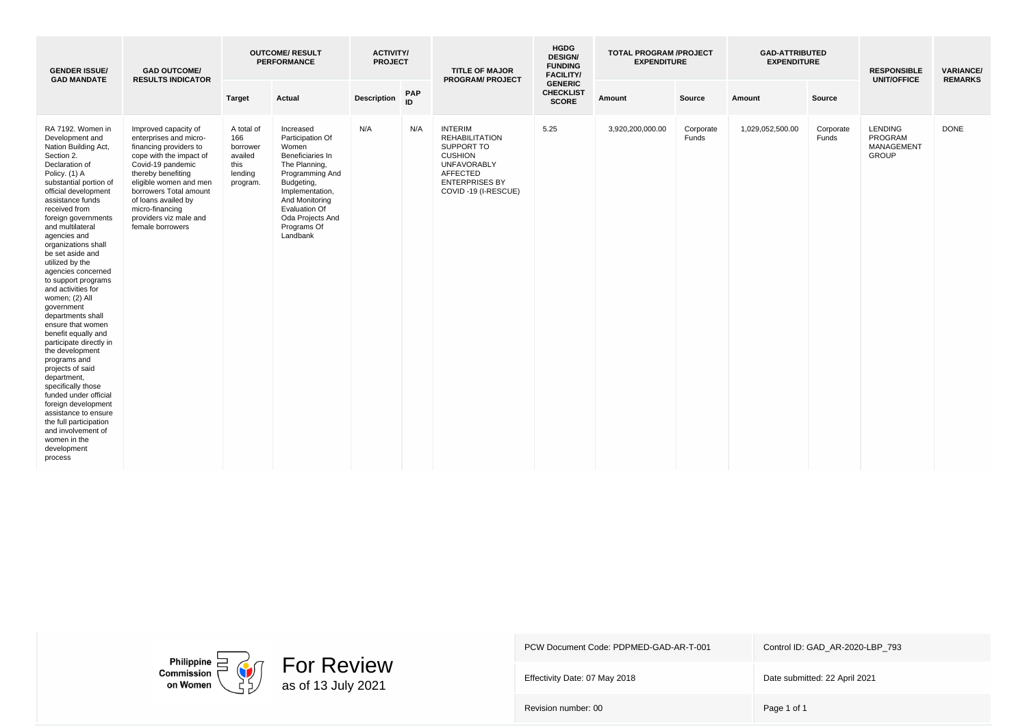| <b>GENDER ISSUE/</b><br><b>GAD MANDATE</b>                                                                                                                                                                                                                                                                                                                                                                                                                                                                                                                                                                                                                                                                                                                                                 | <b>GAD OUTCOME/</b><br><b>RESULTS INDICATOR</b>                                                                                                                                                                                                                                            |                                                                         | <b>OUTCOME/ RESULT</b><br><b>PERFORMANCE</b>                                                                                                                                                                             | <b>ACTIVITY/</b><br><b>PROJECT</b> |            | <b>TITLE OF MAJOR</b><br><b>PROGRAM/ PROJECT</b>                                                                                                                 | <b>HGDG</b><br><b>DESIGN/</b><br><b>FUNDING</b><br><b>FACILITY/</b> | <b>TOTAL PROGRAM /PROJECT</b><br><b>EXPENDITURE</b> |                    | <b>GAD-ATTRIBUTED</b><br><b>EXPENDITURE</b> |                    | <b>RESPONSIBLE</b><br><b>UNIT/OFFICE</b>                       | <b>VARIANCE/</b><br><b>REMARKS</b> |
|--------------------------------------------------------------------------------------------------------------------------------------------------------------------------------------------------------------------------------------------------------------------------------------------------------------------------------------------------------------------------------------------------------------------------------------------------------------------------------------------------------------------------------------------------------------------------------------------------------------------------------------------------------------------------------------------------------------------------------------------------------------------------------------------|--------------------------------------------------------------------------------------------------------------------------------------------------------------------------------------------------------------------------------------------------------------------------------------------|-------------------------------------------------------------------------|--------------------------------------------------------------------------------------------------------------------------------------------------------------------------------------------------------------------------|------------------------------------|------------|------------------------------------------------------------------------------------------------------------------------------------------------------------------|---------------------------------------------------------------------|-----------------------------------------------------|--------------------|---------------------------------------------|--------------------|----------------------------------------------------------------|------------------------------------|
|                                                                                                                                                                                                                                                                                                                                                                                                                                                                                                                                                                                                                                                                                                                                                                                            |                                                                                                                                                                                                                                                                                            | <b>Target</b>                                                           | Actual                                                                                                                                                                                                                   | <b>Description</b>                 | PAP<br>ID. |                                                                                                                                                                  | <b>GENERIC</b><br><b>CHECKLIST</b><br><b>SCORE</b>                  | Amount                                              | Source             | Amount                                      | Source             |                                                                |                                    |
| RA 7192. Women in<br>Development and<br>Nation Building Act,<br>Section 2.<br>Declaration of<br>Policy. (1) A<br>substantial portion of<br>official development<br>assistance funds<br>received from<br>foreign governments<br>and multilateral<br>agencies and<br>organizations shall<br>be set aside and<br>utilized by the<br>agencies concerned<br>to support programs<br>and activities for<br>women; (2) All<br>government<br>departments shall<br>ensure that women<br>benefit equally and<br>participate directly in<br>the development<br>programs and<br>projects of said<br>department,<br>specifically those<br>funded under official<br>foreign development<br>assistance to ensure<br>the full participation<br>and involvement of<br>women in the<br>development<br>process | Improved capacity of<br>enterprises and micro-<br>financing providers to<br>cope with the impact of<br>Covid-19 pandemic<br>thereby benefiting<br>eligible women and men<br>borrowers Total amount<br>of loans availed by<br>micro-financing<br>providers viz male and<br>female borrowers | A total of<br>166<br>borrower<br>availed<br>this<br>lending<br>program. | Increased<br>Participation Of<br>Women<br>Beneficiaries In<br>The Planning,<br>Programming And<br>Budgeting,<br>Implementation,<br>And Monitoring<br><b>Evaluation Of</b><br>Oda Projects And<br>Programs Of<br>Landbank | N/A                                | N/A        | <b>INTERIM</b><br><b>REHABILITATION</b><br>SUPPORT TO<br><b>CUSHION</b><br><b>UNFAVORABLY</b><br><b>AFFECTED</b><br><b>ENTERPRISES BY</b><br>COVID-19 (I-RESCUE) | 5.25                                                                | 3,920,200,000.00                                    | Corporate<br>Funds | 1,029,052,500.00                            | Corporate<br>Funds | <b>LENDING</b><br>PROGRAM<br><b>MANAGEMENT</b><br><b>GROUP</b> | <b>DONE</b>                        |



Effectivity Date: 07 May 2018 Date submitted: 22 April 2021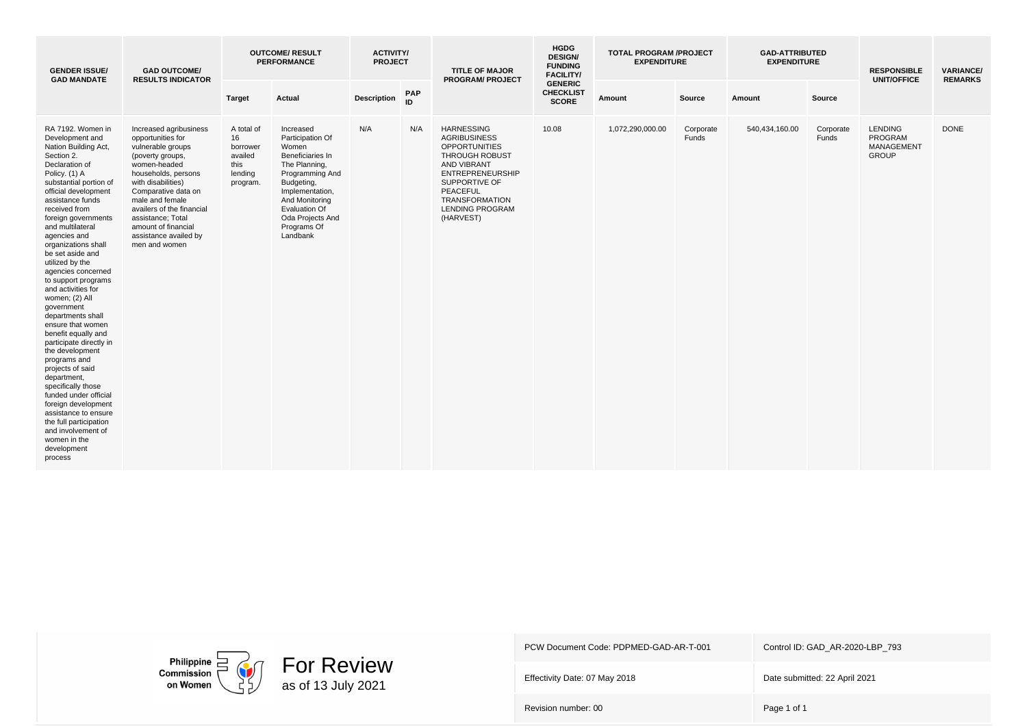| <b>GENDER ISSUE/</b><br><b>GAD MANDATE</b>                                                                                                                                                                                                                                                                                                                                                                                                                                                                                                                                                                                                                                                                                                                                                 | <b>GAD OUTCOME/</b><br><b>RESULTS INDICATOR</b>                                                                                                                                                                                                                                                                |                                                                        | <b>OUTCOME/ RESULT</b><br><b>PERFORMANCE</b>                                                                                                                                                                      | <b>ACTIVITY/</b><br><b>PROJECT</b> |           | <b>TITLE OF MAJOR</b><br><b>PROGRAM/ PROJECT</b>                                                                                                                                                                                 | <b>HGDG</b><br><b>DESIGN/</b><br><b>FUNDING</b><br><b>FACILITY/</b> | <b>TOTAL PROGRAM /PROJECT</b><br><b>EXPENDITURE</b> |                    | <b>GAD-ATTRIBUTED</b><br><b>EXPENDITURE</b> |                    | <b>RESPONSIBLE</b><br><b>UNIT/OFFICE</b>                       | <b>VARIANCE/</b><br><b>REMARKS</b> |
|--------------------------------------------------------------------------------------------------------------------------------------------------------------------------------------------------------------------------------------------------------------------------------------------------------------------------------------------------------------------------------------------------------------------------------------------------------------------------------------------------------------------------------------------------------------------------------------------------------------------------------------------------------------------------------------------------------------------------------------------------------------------------------------------|----------------------------------------------------------------------------------------------------------------------------------------------------------------------------------------------------------------------------------------------------------------------------------------------------------------|------------------------------------------------------------------------|-------------------------------------------------------------------------------------------------------------------------------------------------------------------------------------------------------------------|------------------------------------|-----------|----------------------------------------------------------------------------------------------------------------------------------------------------------------------------------------------------------------------------------|---------------------------------------------------------------------|-----------------------------------------------------|--------------------|---------------------------------------------|--------------------|----------------------------------------------------------------|------------------------------------|
|                                                                                                                                                                                                                                                                                                                                                                                                                                                                                                                                                                                                                                                                                                                                                                                            |                                                                                                                                                                                                                                                                                                                | <b>Target</b>                                                          | Actual                                                                                                                                                                                                            | <b>Description</b>                 | PAP<br>ID |                                                                                                                                                                                                                                  | <b>GENERIC</b><br><b>CHECKLIST</b><br><b>SCORE</b>                  | Amount                                              | Source             | Amount                                      | Source             |                                                                |                                    |
| RA 7192. Women in<br>Development and<br>Nation Building Act,<br>Section 2.<br>Declaration of<br>Policy. (1) A<br>substantial portion of<br>official development<br>assistance funds<br>received from<br>foreign governments<br>and multilateral<br>agencies and<br>organizations shall<br>be set aside and<br>utilized by the<br>agencies concerned<br>to support programs<br>and activities for<br>women; (2) All<br>government<br>departments shall<br>ensure that women<br>benefit equally and<br>participate directly in<br>the development<br>programs and<br>projects of said<br>department,<br>specifically those<br>funded under official<br>foreign development<br>assistance to ensure<br>the full participation<br>and involvement of<br>women in the<br>development<br>process | Increased agribusiness<br>opportunities for<br>vulnerable groups<br>(poverty groups,<br>women-headed<br>households, persons<br>with disabilities)<br>Comparative data on<br>male and female<br>availers of the financial<br>assistance; Total<br>amount of financial<br>assistance availed by<br>men and women | A total of<br>16<br>borrower<br>availed<br>this<br>lending<br>program. | Increased<br>Participation Of<br>Women<br>Beneficiaries In<br>The Planning,<br>Programming And<br>Budgeting,<br>Implementation,<br>And Monitoring<br>Evaluation Of<br>Oda Projects And<br>Programs Of<br>Landbank | N/A                                | N/A       | <b>HARNESSING</b><br><b>AGRIBUSINESS</b><br><b>OPPORTUNITIES</b><br>THROUGH ROBUST<br><b>AND VIBRANT</b><br><b>ENTREPRENEURSHIP</b><br>SUPPORTIVE OF<br>PEACEFUL<br><b>TRANSFORMATION</b><br><b>LENDING PROGRAM</b><br>(HARVEST) | 10.08                                                               | 1,072,290,000.00                                    | Corporate<br>Funds | 540,434,160.00                              | Corporate<br>Funds | <b>LENDING</b><br>PROGRAM<br><b>MANAGEMENT</b><br><b>GROUP</b> | <b>DONE</b>                        |



Effectivity Date: 07 May 2018 Date submitted: 22 April 2021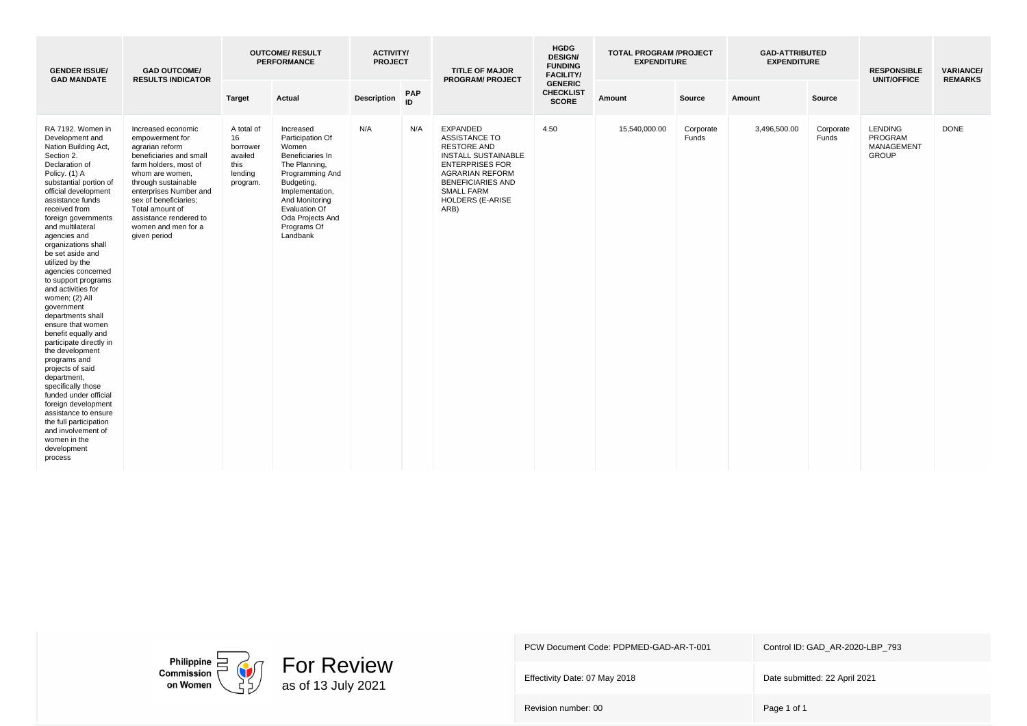| <b>GENDER ISSUE/</b><br><b>GAD MANDATE</b>                                                                                                                                                                                                                                                                                                                                                                                                                                                                                                                                                                                                                                                                                                                                                 | <b>GAD OUTCOME/</b><br><b>RESULTS INDICATOR</b>                                                                                                                                                                                                                                               |                                                                        | <b>OUTCOME/ RESULT</b><br><b>PERFORMANCE</b>                                                                                                                                                                             | <b>ACTIVITY/</b><br><b>PROJECT</b> |           | <b>TITLE OF MAJOR</b><br><b>PROGRAM/ PROJECT</b>                                                                                                                                                                                    | <b>HGDG</b><br><b>DESIGN/</b><br><b>FUNDING</b><br><b>FACILITY/</b> | <b>TOTAL PROGRAM /PROJECT</b><br><b>EXPENDITURE</b> |                    | <b>GAD-ATTRIBUTED</b><br><b>EXPENDITURE</b> |                    | <b>RESPONSIBLE</b><br><b>UNIT/OFFICE</b>                | <b>VARIANCE/</b><br><b>REMARKS</b> |
|--------------------------------------------------------------------------------------------------------------------------------------------------------------------------------------------------------------------------------------------------------------------------------------------------------------------------------------------------------------------------------------------------------------------------------------------------------------------------------------------------------------------------------------------------------------------------------------------------------------------------------------------------------------------------------------------------------------------------------------------------------------------------------------------|-----------------------------------------------------------------------------------------------------------------------------------------------------------------------------------------------------------------------------------------------------------------------------------------------|------------------------------------------------------------------------|--------------------------------------------------------------------------------------------------------------------------------------------------------------------------------------------------------------------------|------------------------------------|-----------|-------------------------------------------------------------------------------------------------------------------------------------------------------------------------------------------------------------------------------------|---------------------------------------------------------------------|-----------------------------------------------------|--------------------|---------------------------------------------|--------------------|---------------------------------------------------------|------------------------------------|
|                                                                                                                                                                                                                                                                                                                                                                                                                                                                                                                                                                                                                                                                                                                                                                                            |                                                                                                                                                                                                                                                                                               | <b>Target</b>                                                          | Actual                                                                                                                                                                                                                   | <b>Description</b>                 | PAP<br>ID |                                                                                                                                                                                                                                     | <b>GENERIC</b><br><b>CHECKLIST</b><br><b>SCORE</b>                  | Amount                                              | Source             | Amount                                      | Source             |                                                         |                                    |
| RA 7192. Women in<br>Development and<br>Nation Building Act,<br>Section 2.<br>Declaration of<br>Policy. (1) A<br>substantial portion of<br>official development<br>assistance funds<br>received from<br>foreign governments<br>and multilateral<br>agencies and<br>organizations shall<br>be set aside and<br>utilized by the<br>agencies concerned<br>to support programs<br>and activities for<br>women; (2) All<br>government<br>departments shall<br>ensure that women<br>benefit equally and<br>participate directly in<br>the development<br>programs and<br>projects of said<br>department,<br>specifically those<br>funded under official<br>foreign development<br>assistance to ensure<br>the full participation<br>and involvement of<br>women in the<br>development<br>process | Increased economic<br>empowerment for<br>agrarian reform<br>beneficiaries and small<br>farm holders, most of<br>whom are women,<br>through sustainable<br>enterprises Number and<br>sex of beneficiaries;<br>Total amount of<br>assistance rendered to<br>women and men for a<br>given period | A total of<br>16<br>borrower<br>availed<br>this<br>lending<br>program. | Increased<br>Participation Of<br>Women<br>Beneficiaries In<br>The Planning,<br>Programming And<br>Budgeting,<br>Implementation,<br>And Monitoring<br><b>Evaluation Of</b><br>Oda Projects And<br>Programs Of<br>Landbank | N/A                                | N/A       | <b>EXPANDED</b><br><b>ASSISTANCE TO</b><br><b>RESTORE AND</b><br><b>INSTALL SUSTAINABLE</b><br><b>ENTERPRISES FOR</b><br><b>AGRARIAN REFORM</b><br><b>BENEFICIARIES AND</b><br><b>SMALL FARM</b><br><b>HOLDERS (E-ARISE</b><br>ARB) | 4.50                                                                | 15,540,000.00                                       | Corporate<br>Funds | 3,496,500.00                                | Corporate<br>Funds | <b>LENDING</b><br>PROGRAM<br>MANAGEMENT<br><b>GROUP</b> | <b>DONE</b>                        |



Effectivity Date: 07 May 2018 Date submitted: 22 April 2021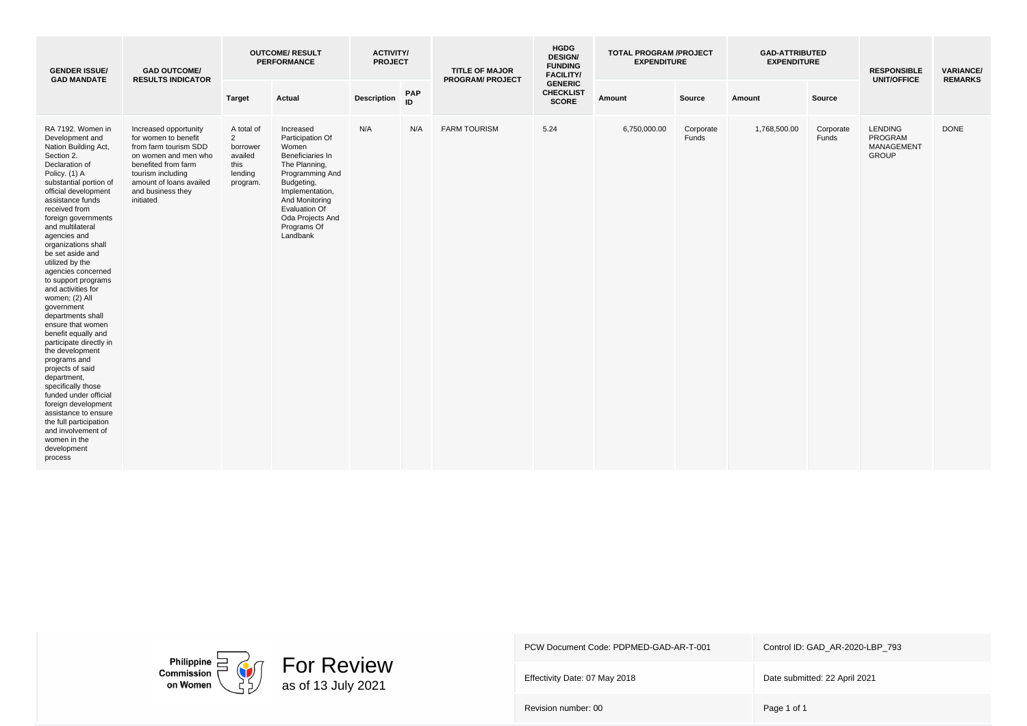| <b>GENDER ISSUE/</b><br><b>GAD MANDATE</b>                                                                                                                                                                                                                                                                                                                                                                                                                                                                                                                                                                                                                                                                                                                                                 | <b>GAD OUTCOME/</b><br><b>RESULTS INDICATOR</b>                                                                                                                                                         |                                                                                    | <b>OUTCOME/ RESULT</b><br><b>PERFORMANCE</b>                                                                                                                                                                      | <b>ACTIVITY/</b><br><b>PROJECT</b> |           | <b>TITLE OF MAJOR</b><br><b>PROGRAM/ PROJECT</b> | <b>HGDG</b><br><b>DESIGN/</b><br><b>FUNDING</b><br><b>FACILITY/</b> | <b>TOTAL PROGRAM /PROJECT</b><br><b>EXPENDITURE</b> |                    | <b>GAD-ATTRIBUTED</b><br><b>EXPENDITURE</b> |                    | <b>RESPONSIBLE</b><br><b>UNIT/OFFICE</b>                       | <b>VARIANCE/</b><br><b>REMARKS</b> |
|--------------------------------------------------------------------------------------------------------------------------------------------------------------------------------------------------------------------------------------------------------------------------------------------------------------------------------------------------------------------------------------------------------------------------------------------------------------------------------------------------------------------------------------------------------------------------------------------------------------------------------------------------------------------------------------------------------------------------------------------------------------------------------------------|---------------------------------------------------------------------------------------------------------------------------------------------------------------------------------------------------------|------------------------------------------------------------------------------------|-------------------------------------------------------------------------------------------------------------------------------------------------------------------------------------------------------------------|------------------------------------|-----------|--------------------------------------------------|---------------------------------------------------------------------|-----------------------------------------------------|--------------------|---------------------------------------------|--------------------|----------------------------------------------------------------|------------------------------------|
|                                                                                                                                                                                                                                                                                                                                                                                                                                                                                                                                                                                                                                                                                                                                                                                            |                                                                                                                                                                                                         | <b>Target</b>                                                                      | Actual                                                                                                                                                                                                            | <b>Description</b>                 | PAP<br>ID |                                                  | <b>GENERIC</b><br><b>CHECKLIST</b><br><b>SCORE</b>                  | Amount                                              | Source             | Amount                                      | Source             |                                                                |                                    |
| RA 7192. Women in<br>Development and<br>Nation Building Act,<br>Section 2.<br>Declaration of<br>Policy. (1) A<br>substantial portion of<br>official development<br>assistance funds<br>received from<br>foreign governments<br>and multilateral<br>agencies and<br>organizations shall<br>be set aside and<br>utilized by the<br>agencies concerned<br>to support programs<br>and activities for<br>women; (2) All<br>government<br>departments shall<br>ensure that women<br>benefit equally and<br>participate directly in<br>the development<br>programs and<br>projects of said<br>department,<br>specifically those<br>funded under official<br>foreign development<br>assistance to ensure<br>the full participation<br>and involvement of<br>women in the<br>development<br>process | Increased opportunity<br>for women to benefit<br>from farm tourism SDD<br>on women and men who<br>benefited from farm<br>tourism including<br>amount of loans availed<br>and business they<br>initiated | A total of<br>$\overline{2}$<br>borrower<br>availed<br>this<br>lending<br>program. | Increased<br>Participation Of<br>Women<br>Beneficiaries In<br>The Planning,<br>Programming And<br>Budgeting,<br>Implementation,<br>And Monitoring<br>Evaluation Of<br>Oda Projects And<br>Programs Of<br>Landbank | N/A                                | N/A       | <b>FARM TOURISM</b>                              | 5.24                                                                | 6,750,000.00                                        | Corporate<br>Funds | 1,768,500.00                                | Corporate<br>Funds | <b>LENDING</b><br>PROGRAM<br><b>MANAGEMENT</b><br><b>GROUP</b> | <b>DONE</b>                        |



Effectivity Date: 07 May 2018 Date submitted: 22 April 2021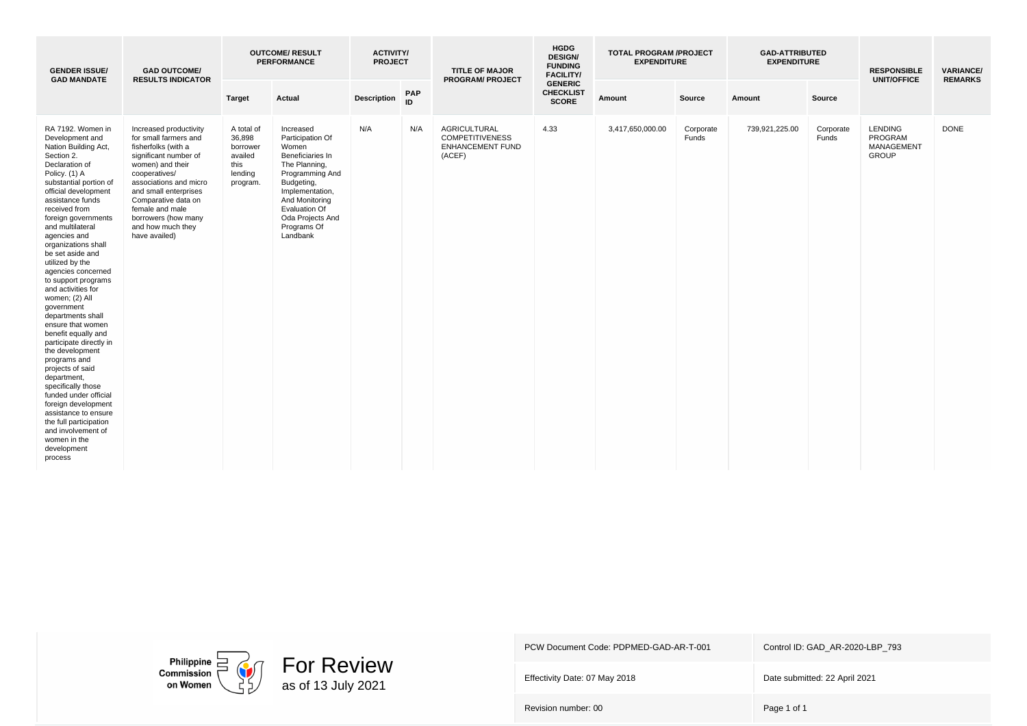| <b>GENDER ISSUE/</b><br><b>GAD MANDATE</b>                                                                                                                                                                                                                                                                                                                                                                                                                                                                                                                                                                                                                                                                                                                                                 | <b>GAD OUTCOME/</b><br><b>RESULTS INDICATOR</b>                                                                                                                                                                                                                                                |                                                                            | <b>OUTCOME/ RESULT</b><br><b>PERFORMANCE</b>                                                                                                                                                                      | <b>ACTIVITY/</b><br><b>PROJECT</b> |                  | <b>TITLE OF MAJOR</b><br><b>PROGRAM/ PROJECT</b>                                   | <b>HGDG</b><br><b>DESIGN/</b><br><b>FUNDING</b><br><b>FACILITY/</b> | <b>TOTAL PROGRAM /PROJECT</b><br><b>EXPENDITURE</b> |                    | <b>GAD-ATTRIBUTED</b><br><b>EXPENDITURE</b> |                    | <b>RESPONSIBLE</b><br><b>UNIT/OFFICE</b>                | <b>VARIANCE/</b><br><b>REMARKS</b> |
|--------------------------------------------------------------------------------------------------------------------------------------------------------------------------------------------------------------------------------------------------------------------------------------------------------------------------------------------------------------------------------------------------------------------------------------------------------------------------------------------------------------------------------------------------------------------------------------------------------------------------------------------------------------------------------------------------------------------------------------------------------------------------------------------|------------------------------------------------------------------------------------------------------------------------------------------------------------------------------------------------------------------------------------------------------------------------------------------------|----------------------------------------------------------------------------|-------------------------------------------------------------------------------------------------------------------------------------------------------------------------------------------------------------------|------------------------------------|------------------|------------------------------------------------------------------------------------|---------------------------------------------------------------------|-----------------------------------------------------|--------------------|---------------------------------------------|--------------------|---------------------------------------------------------|------------------------------------|
|                                                                                                                                                                                                                                                                                                                                                                                                                                                                                                                                                                                                                                                                                                                                                                                            |                                                                                                                                                                                                                                                                                                | <b>Target</b>                                                              | Actual                                                                                                                                                                                                            | <b>Description</b>                 | <b>PAP</b><br>ID |                                                                                    | <b>GENERIC</b><br><b>CHECKLIST</b><br><b>SCORE</b>                  | Amount                                              | Source             | Amount                                      | Source             |                                                         |                                    |
| RA 7192. Women in<br>Development and<br>Nation Building Act,<br>Section 2.<br>Declaration of<br>Policy. (1) A<br>substantial portion of<br>official development<br>assistance funds<br>received from<br>foreign governments<br>and multilateral<br>agencies and<br>organizations shall<br>be set aside and<br>utilized by the<br>agencies concerned<br>to support programs<br>and activities for<br>women; (2) All<br>government<br>departments shall<br>ensure that women<br>benefit equally and<br>participate directly in<br>the development<br>programs and<br>projects of said<br>department,<br>specifically those<br>funded under official<br>foreign development<br>assistance to ensure<br>the full participation<br>and involvement of<br>women in the<br>development<br>process | Increased productivity<br>for small farmers and<br>fisherfolks (with a<br>significant number of<br>women) and their<br>cooperatives/<br>associations and micro<br>and small enterprises<br>Comparative data on<br>female and male<br>borrowers (how many<br>and how much they<br>have availed) | A total of<br>36,898<br>borrower<br>availed<br>this<br>lending<br>program. | Increased<br>Participation Of<br>Women<br>Beneficiaries In<br>The Planning,<br>Programming And<br>Budgeting,<br>Implementation,<br>And Monitoring<br>Evaluation Of<br>Oda Projects And<br>Programs Of<br>Landbank | N/A                                | N/A              | <b>AGRICULTURAL</b><br><b>COMPETITIVENESS</b><br><b>ENHANCEMENT FUND</b><br>(ACEF) | 4.33                                                                | 3,417,650,000.00                                    | Corporate<br>Funds | 739,921,225.00                              | Corporate<br>Funds | <b>LENDING</b><br>PROGRAM<br>MANAGEMENT<br><b>GROUP</b> | <b>DONE</b>                        |



Effectivity Date: 07 May 2018 Date submitted: 22 April 2021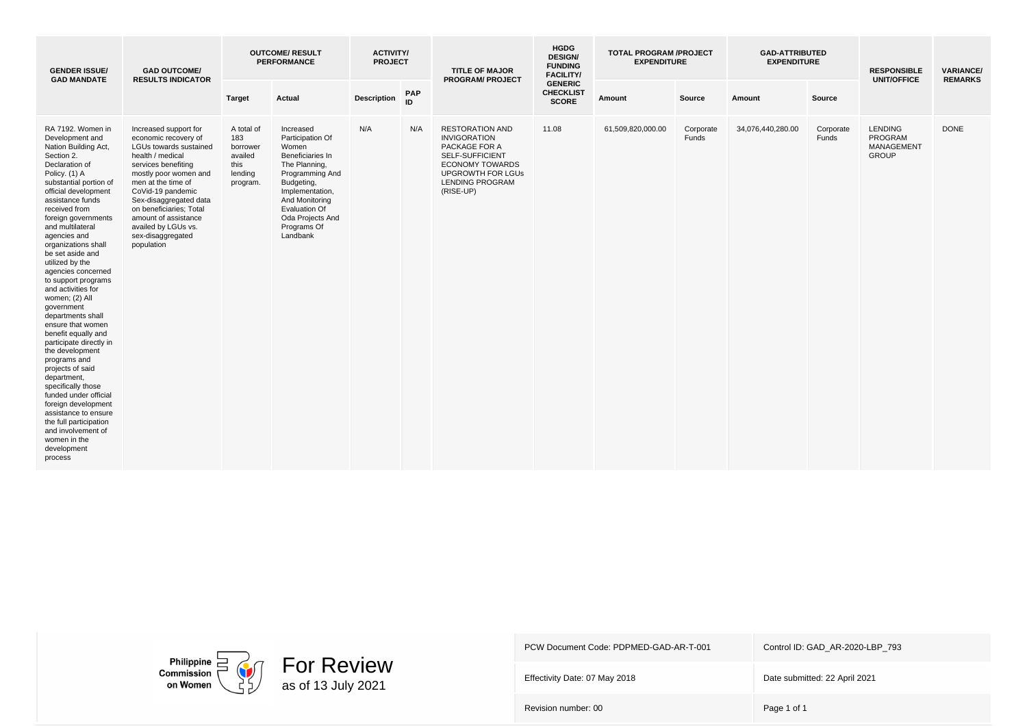| <b>GENDER ISSUE/</b><br><b>GAD MANDATE</b>                                                                                                                                                                                                                                                                                                                                                                                                                                                                                                                                                                                                                                                                                                                                                 | <b>GAD OUTCOME/</b><br><b>RESULTS INDICATOR</b>                                                                                                                                                                                                                                                                               |                                                                         | <b>OUTCOME/ RESULT</b><br><b>PERFORMANCE</b>                                                                                                                                                                      | <b>ACTIVITY/</b><br><b>PROJECT</b> |           | <b>TITLE OF MAJOR</b><br><b>PROGRAM/ PROJECT</b>                                                                                                                               | <b>HGDG</b><br><b>DESIGN/</b><br><b>FUNDING</b><br><b>FACILITY/</b> | <b>TOTAL PROGRAM /PROJECT</b><br><b>EXPENDITURE</b> |                    | <b>GAD-ATTRIBUTED</b><br><b>EXPENDITURE</b> |                    | <b>RESPONSIBLE</b><br><b>UNIT/OFFICE</b>                       | <b>VARIANCE/</b><br><b>REMARKS</b> |
|--------------------------------------------------------------------------------------------------------------------------------------------------------------------------------------------------------------------------------------------------------------------------------------------------------------------------------------------------------------------------------------------------------------------------------------------------------------------------------------------------------------------------------------------------------------------------------------------------------------------------------------------------------------------------------------------------------------------------------------------------------------------------------------------|-------------------------------------------------------------------------------------------------------------------------------------------------------------------------------------------------------------------------------------------------------------------------------------------------------------------------------|-------------------------------------------------------------------------|-------------------------------------------------------------------------------------------------------------------------------------------------------------------------------------------------------------------|------------------------------------|-----------|--------------------------------------------------------------------------------------------------------------------------------------------------------------------------------|---------------------------------------------------------------------|-----------------------------------------------------|--------------------|---------------------------------------------|--------------------|----------------------------------------------------------------|------------------------------------|
|                                                                                                                                                                                                                                                                                                                                                                                                                                                                                                                                                                                                                                                                                                                                                                                            |                                                                                                                                                                                                                                                                                                                               | <b>Target</b>                                                           | Actual                                                                                                                                                                                                            | <b>Description</b>                 | PAP<br>ID |                                                                                                                                                                                | <b>GENERIC</b><br><b>CHECKLIST</b><br><b>SCORE</b>                  | Amount                                              | Source             | Amount                                      | Source             |                                                                |                                    |
| RA 7192. Women in<br>Development and<br>Nation Building Act,<br>Section 2.<br>Declaration of<br>Policy. (1) A<br>substantial portion of<br>official development<br>assistance funds<br>received from<br>foreign governments<br>and multilateral<br>agencies and<br>organizations shall<br>be set aside and<br>utilized by the<br>agencies concerned<br>to support programs<br>and activities for<br>women; (2) All<br>government<br>departments shall<br>ensure that women<br>benefit equally and<br>participate directly in<br>the development<br>programs and<br>projects of said<br>department,<br>specifically those<br>funded under official<br>foreign development<br>assistance to ensure<br>the full participation<br>and involvement of<br>women in the<br>development<br>process | Increased support for<br>economic recovery of<br>LGUs towards sustained<br>health / medical<br>services benefiting<br>mostly poor women and<br>men at the time of<br>CoVid-19 pandemic<br>Sex-disaggregated data<br>on beneficiaries; Total<br>amount of assistance<br>availed by LGUs vs.<br>sex-disaggregated<br>population | A total of<br>183<br>borrower<br>availed<br>this<br>lending<br>program. | Increased<br>Participation Of<br>Women<br>Beneficiaries In<br>The Planning,<br>Programming And<br>Budgeting,<br>Implementation,<br>And Monitoring<br>Evaluation Of<br>Oda Projects And<br>Programs Of<br>Landbank | N/A                                | N/A       | <b>RESTORATION AND</b><br><b>INVIGORATION</b><br>PACKAGE FOR A<br>SELF-SUFFICIENT<br><b>ECONOMY TOWARDS</b><br><b>UPGROWTH FOR LGUS</b><br><b>LENDING PROGRAM</b><br>(RISE-UP) | 11.08                                                               | 61,509,820,000.00                                   | Corporate<br>Funds | 34,076,440,280.00                           | Corporate<br>Funds | <b>LENDING</b><br>PROGRAM<br><b>MANAGEMENT</b><br><b>GROUP</b> | <b>DONE</b>                        |



Effectivity Date: 07 May 2018 Date submitted: 22 April 2021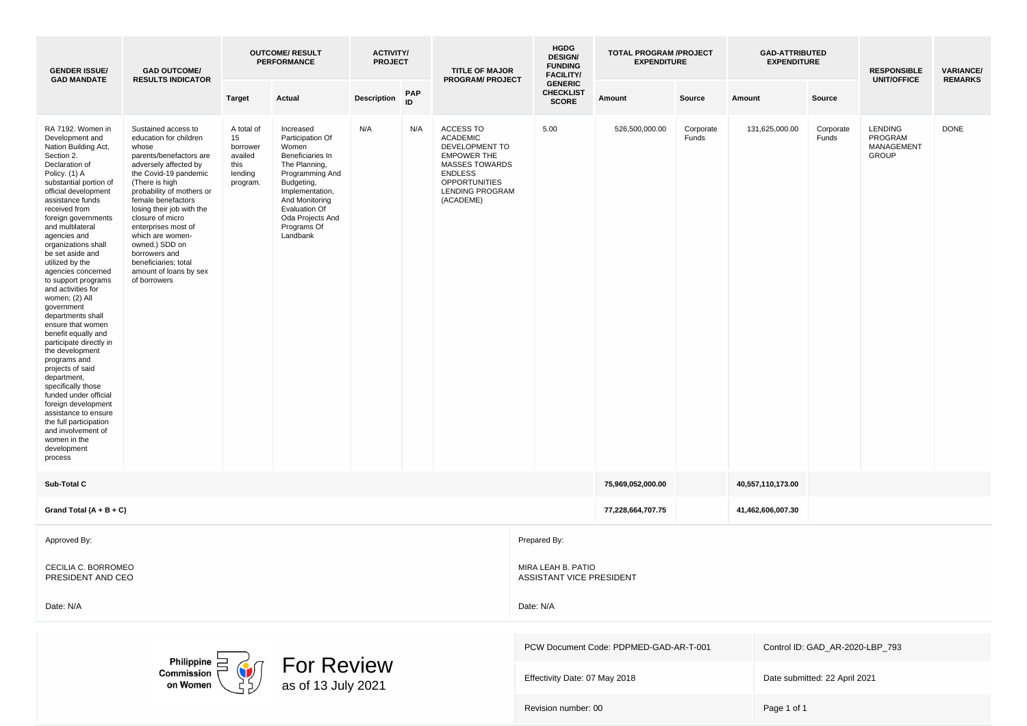| <b>GENDER ISSUE/</b><br><b>GAD MANDATE</b>                                                                                                                                                                                                                                                                                                                                                                                                                                                                                                                                                                                                                                                                                                                                                 | <b>GAD OUTCOME/</b><br><b>RESULTS INDICATOR</b>                                                                                                                                                                                                                                                                                                                                                           |                                                                        | <b>OUTCOME/ RESULT</b><br><b>PERFORMANCE</b>                                                                                                                                                                      | <b>ACTIVITY/</b><br><b>PROJECT</b> |                  | <b>TITLE OF MAJOR</b><br><b>PROGRAM/ PROJECT</b>                                                                                                                                      | <b>HGDG</b><br><b>DESIGN/</b><br><b>FUNDING</b><br><b>FACILITY/</b> | <b>TOTAL PROGRAM /PROJECT</b><br><b>EXPENDITURE</b> |                    | <b>GAD-ATTRIBUTED</b><br><b>EXPENDITURE</b> |                                 | <b>RESPONSIBLE</b><br><b>UNIT/OFFICE</b>                | <b>VARIANCE/</b><br><b>REMARKS</b> |
|--------------------------------------------------------------------------------------------------------------------------------------------------------------------------------------------------------------------------------------------------------------------------------------------------------------------------------------------------------------------------------------------------------------------------------------------------------------------------------------------------------------------------------------------------------------------------------------------------------------------------------------------------------------------------------------------------------------------------------------------------------------------------------------------|-----------------------------------------------------------------------------------------------------------------------------------------------------------------------------------------------------------------------------------------------------------------------------------------------------------------------------------------------------------------------------------------------------------|------------------------------------------------------------------------|-------------------------------------------------------------------------------------------------------------------------------------------------------------------------------------------------------------------|------------------------------------|------------------|---------------------------------------------------------------------------------------------------------------------------------------------------------------------------------------|---------------------------------------------------------------------|-----------------------------------------------------|--------------------|---------------------------------------------|---------------------------------|---------------------------------------------------------|------------------------------------|
|                                                                                                                                                                                                                                                                                                                                                                                                                                                                                                                                                                                                                                                                                                                                                                                            |                                                                                                                                                                                                                                                                                                                                                                                                           | Target                                                                 | Actual                                                                                                                                                                                                            | <b>Description</b>                 | <b>PAP</b><br>ID |                                                                                                                                                                                       | <b>GENERIC</b><br><b>CHECKLIST</b><br><b>SCORE</b>                  | Amount                                              | Source             | Amount                                      | Source                          |                                                         |                                    |
| RA 7192. Women in<br>Development and<br>Nation Building Act,<br>Section 2.<br>Declaration of<br>Policy. (1) A<br>substantial portion of<br>official development<br>assistance funds<br>received from<br>foreign governments<br>and multilateral<br>agencies and<br>organizations shall<br>be set aside and<br>utilized by the<br>agencies concerned<br>to support programs<br>and activities for<br>women; (2) All<br>government<br>departments shall<br>ensure that women<br>benefit equally and<br>participate directly in<br>the development<br>programs and<br>projects of said<br>department,<br>specifically those<br>funded under official<br>foreign development<br>assistance to ensure<br>the full participation<br>and involvement of<br>women in the<br>development<br>process | Sustained access to<br>education for children<br>whose<br>parents/benefactors are<br>adversely affected by<br>the Covid-19 pandemic<br>(There is high<br>probability of mothers or<br>female benefactors<br>losing their job with the<br>closure of micro<br>enterprises most of<br>which are women-<br>owned.) SDD on<br>borrowers and<br>beneficiaries; total<br>amount of loans by sex<br>of borrowers | A total of<br>15<br>borrower<br>availed<br>this<br>lending<br>program. | Increased<br>Participation Of<br>Women<br>Beneficiaries In<br>The Planning,<br>Programming And<br>Budgeting,<br>Implementation,<br>And Monitoring<br>Evaluation Of<br>Oda Projects And<br>Programs Of<br>Landbank | N/A                                | N/A              | <b>ACCESS TO</b><br><b>ACADEMIC</b><br>DEVELOPMENT TO<br><b>EMPOWER THE</b><br><b>MASSES TOWARDS</b><br><b>ENDLESS</b><br><b>OPPORTUNITIES</b><br><b>LENDING PROGRAM</b><br>(ACADEME) | 5.00                                                                | 526,500,000.00                                      | Corporate<br>Funds | 131,625,000.00                              | Corporate<br>Funds              | <b>LENDING</b><br>PROGRAM<br>MANAGEMENT<br><b>GROUP</b> | <b>DONE</b>                        |
| Sub-Total C                                                                                                                                                                                                                                                                                                                                                                                                                                                                                                                                                                                                                                                                                                                                                                                |                                                                                                                                                                                                                                                                                                                                                                                                           |                                                                        |                                                                                                                                                                                                                   |                                    |                  |                                                                                                                                                                                       |                                                                     | 75,969,052,000.00                                   |                    | 40,557,110,173.00                           |                                 |                                                         |                                    |
| Grand Total $(A + B + C)$                                                                                                                                                                                                                                                                                                                                                                                                                                                                                                                                                                                                                                                                                                                                                                  |                                                                                                                                                                                                                                                                                                                                                                                                           |                                                                        |                                                                                                                                                                                                                   |                                    |                  |                                                                                                                                                                                       |                                                                     | 77,228,664,707.75                                   |                    | 41,462,606,007.30                           |                                 |                                                         |                                    |
| Approved By:                                                                                                                                                                                                                                                                                                                                                                                                                                                                                                                                                                                                                                                                                                                                                                               |                                                                                                                                                                                                                                                                                                                                                                                                           |                                                                        |                                                                                                                                                                                                                   |                                    |                  |                                                                                                                                                                                       | Prepared By:                                                        |                                                     |                    |                                             |                                 |                                                         |                                    |
| CECILIA C. BORROMEO<br>PRESIDENT AND CEO                                                                                                                                                                                                                                                                                                                                                                                                                                                                                                                                                                                                                                                                                                                                                   |                                                                                                                                                                                                                                                                                                                                                                                                           |                                                                        |                                                                                                                                                                                                                   |                                    |                  |                                                                                                                                                                                       | MIRA LEAH B. PATIO<br>ASSISTANT VICE PRESIDENT                      |                                                     |                    |                                             |                                 |                                                         |                                    |
| Date: N/A                                                                                                                                                                                                                                                                                                                                                                                                                                                                                                                                                                                                                                                                                                                                                                                  |                                                                                                                                                                                                                                                                                                                                                                                                           |                                                                        |                                                                                                                                                                                                                   |                                    |                  |                                                                                                                                                                                       | Date: N/A                                                           |                                                     |                    |                                             |                                 |                                                         |                                    |
|                                                                                                                                                                                                                                                                                                                                                                                                                                                                                                                                                                                                                                                                                                                                                                                            |                                                                                                                                                                                                                                                                                                                                                                                                           |                                                                        |                                                                                                                                                                                                                   |                                    |                  |                                                                                                                                                                                       |                                                                     | PCW Document Code: PDPMED-GAD-AR-T-001              |                    |                                             | Control ID: GAD_AR-2020-LBP_793 |                                                         |                                    |
|                                                                                                                                                                                                                                                                                                                                                                                                                                                                                                                                                                                                                                                                                                                                                                                            | Philippine $\equiv$<br>Commission<br>on Womer                                                                                                                                                                                                                                                                                                                                                             |                                                                        | <b>For Review</b><br>as of 13 July 2021                                                                                                                                                                           |                                    |                  |                                                                                                                                                                                       | Effectivity Date: 07 May 2018                                       |                                                     |                    |                                             | Date submitted: 22 April 2021   |                                                         |                                    |
|                                                                                                                                                                                                                                                                                                                                                                                                                                                                                                                                                                                                                                                                                                                                                                                            |                                                                                                                                                                                                                                                                                                                                                                                                           |                                                                        |                                                                                                                                                                                                                   |                                    |                  |                                                                                                                                                                                       | Revision number: 00                                                 |                                                     |                    | Page 1 of 1                                 |                                 |                                                         |                                    |